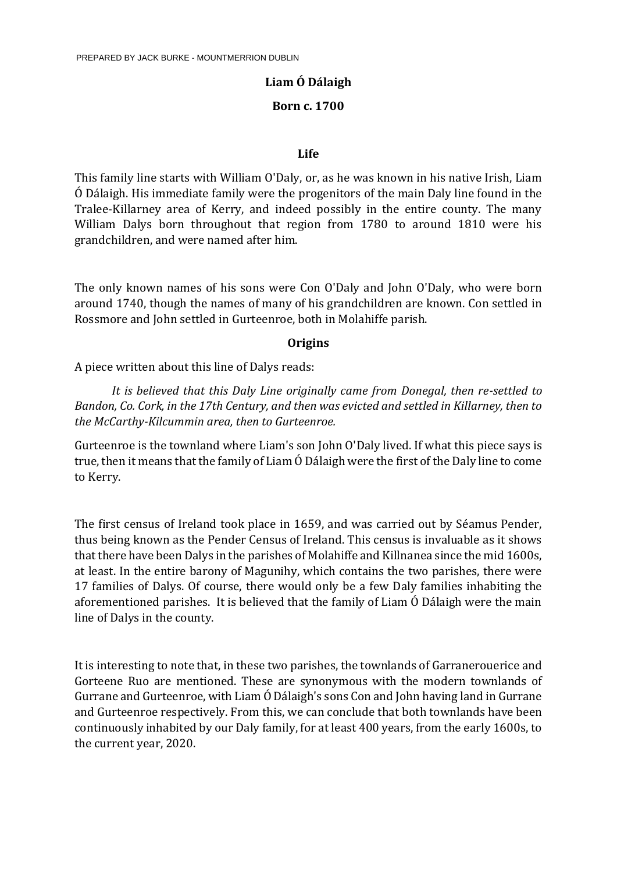# **Liam Ó Dálaigh**

### **Born c. 1700**

#### **Life**

This family line starts with William O'Daly, or, as he was known in his native Irish, Liam Ó Dálaigh. His immediate family were the progenitors of the main Daly line found in the Tralee-Killarney area of Kerry, and indeed possibly in the entire county. The many William Dalys born throughout that region from 1780 to around 1810 were his grandchildren, and were named after him.

The only known names of his sons were Con O'Daly and John O'Daly, who were born around 1740, though the names of many of his grandchildren are known. Con settled in Rossmore and John settled in Gurteenroe, both in Molahiffe parish.

### **Origins**

A piece written about this line of Dalys reads:

*It is believed that this Daly Line originally came from Donegal, then re-settled to Bandon, Co. Cork, in the 17th Century, and then was evicted and settled in Killarney, then to the McCarthy-Kilcummin area, then to Gurteenroe.*

Gurteenroe is the townland where Liam's son John O'Daly lived. If what this piece says is true, then it means that the family of Liam Ó Dálaigh were the first of the Daly line to come to Kerry.

The first census of Ireland took place in 1659, and was carried out by Séamus Pender, thus being known as the Pender Census of Ireland. This census is invaluable as it shows that there have been Dalys in the parishes of Molahiffe and Killnanea since the mid 1600s, at least. In the entire barony of Magunihy, which contains the two parishes, there were 17 families of Dalys. Of course, there would only be a few Daly families inhabiting the aforementioned parishes. It is believed that the family of Liam Ó Dálaigh were the main line of Dalys in the county.

It is interesting to note that, in these two parishes, the townlands of Garranerouerice and Gorteene Ruo are mentioned. These are synonymous with the modern townlands of Gurrane and Gurteenroe, with Liam Ó Dálaigh's sons Con and John having land in Gurrane and Gurteenroe respectively. From this, we can conclude that both townlands have been continuously inhabited by our Daly family, for at least 400 years, from the early 1600s, to the current year, 2020.